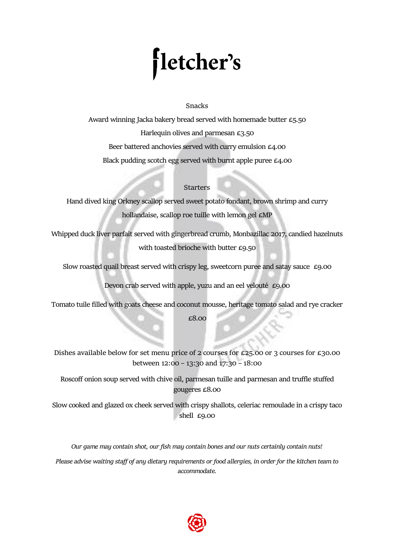# fletcher's

## **Snacks**

Award winning Jacka bakery bread served with homemade butter £5.50 Harlequin olives and parmesan £3.50 Beer battered anchovies served with curry emulsion £4.00 Black pudding scotch egg served with burnt apple puree £4.00

# **Starters**

Hand dived king Orkney scallop served sweet potato fondant, brown shrimp and curry hollandaise, scallop roe tuille with lemon gel  $\epsilon$ MP

Whipped duck liver parfait served with gingerbread crumb, Monbazillac 2017, candied hazelnuts with toasted brioche with butter £9.50

Slow roasted quail breast served with crispy leg, sweetcorn puree and satay sauce £9.00

Devon crab served with apple, yuzu and an eel velouté £9.00

Tomato tuile filled with goats cheese and coconut mousse, heritage tomato salad and rye cracker

£8.00

**Dishes available below for set menu price of 2 courses for £25.00 or 3 courses for £30.00 between 12:00 – 13:30 and 17:30 – 18:00**

Roscoff onion soup served with chive oil, parmesan tuille and parmesan and truffle stuffed gougeres £8.00

Slow cooked and glazed ox cheek served with crispy shallots, celeriac remoulade in a crispy taco shell £9.00

*Our game may contain shot, our fish may contain bones and our nuts certainly contain nuts!* 

*Please advise waiting staff of any dietary requirements or food allergies, in order for the kitchen team to accommodate.* 

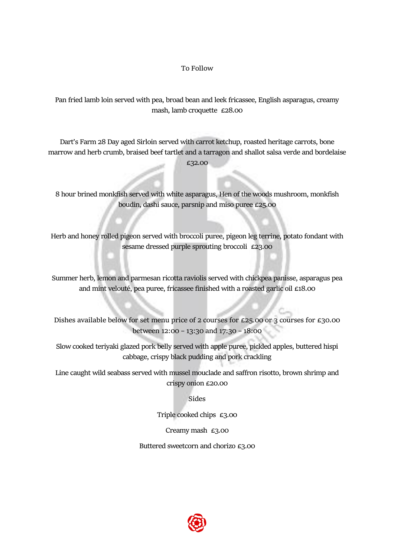## **To Follow**

Pan fried lamb loin served with pea, broad bean and leek fricassee, English asparagus, creamy mash, lamb croquette £28.00

Dart's Farm 28 Day aged Sirloin served with carrot ketchup, roasted heritage carrots, bone marrow and herb crumb, braised beef tartlet and a tarragon and shallot salsa verde and bordelaise £32.00

8 hour brined monkfish served with white asparagus, Hen of the woods mushroom, monkfish boudin, dashi sauce, parsnip and miso puree £25.00

Herb and honey rolled pigeon served with broccoli puree, pigeon leg terrine, potato fondant with sesame dressed purple sprouting broccoli £23.00

Summer herb, lemon and parmesan ricotta raviolis served with chickpea panisse, asparagus pea and mint velouté, pea puree, fricassee finished with a roasted garlic oil £18.00

**Dishes available below for set menu price of 2 courses for £25.00 or 3 courses for £30.00 between 12:00 – 13:30 and 17:30 – 18:00**

Slow cooked teriyaki glazed pork belly served with apple puree, pickled apples, buttered hispi cabbage, crispy black pudding and pork crackling

Line caught wild seabass served with mussel mouclade and saffron risotto, brown shrimp and crispy onion £20.00

**Sides**

Triple cooked chips £3.00

Creamy mash £3.00

Buttered sweetcorn and chorizo £3.00